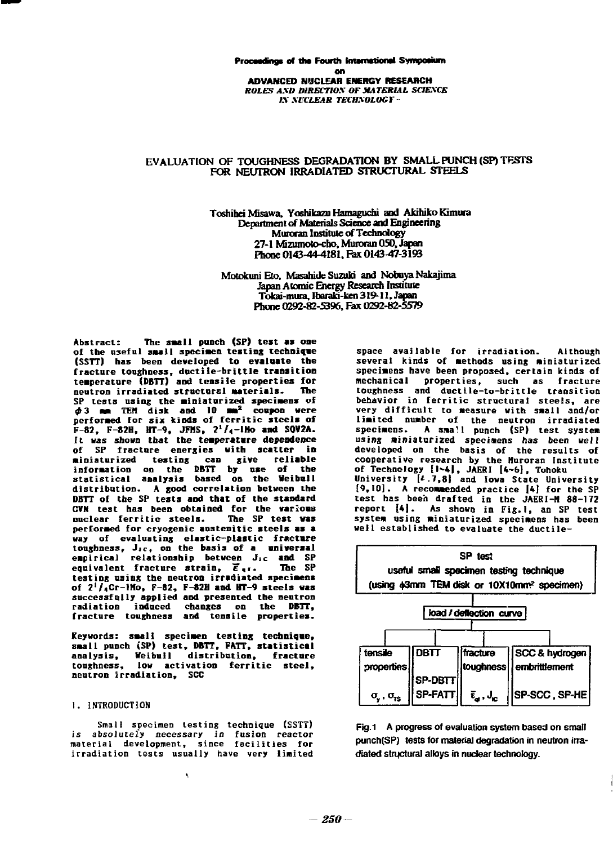## **Proceedings of the Fourth International Symposium on**  on<br>**ADVANCED NUCLEAR ENERGY RESEARCH ROLES** *AXO D1RECTIOX OF MATERIAL SCIEXCE*  ROLES A.DDIREC7OSOF .IIA TERIA SCIESCE **IN NUCLEAR TECHNOLOGY**

# **EVALUATION OF TOUGHNESS DEGRADATION BY SMALL PUNCH (SP) TESTS**  EVALUATION OF TOUGHNESS DEGRADATION BY SMALLPUNCH(S TF.srs **FOR NEUTRON IRRADIATED STRUCTURAL STEELS**

FOR NEUTRON IRRADIATED STRUCTURAL STEELS<br>Toshihei Misawa, Yoshikazu Hamaguchi and Akihiko Kimura Department of Materials Science and Engineering **Muroran Institute of Technology** 27-1 Mizumoto-cho, Muroran 050, Japan **Phone 0143-44-4181, Pax 0143-47-3193**  phooe 0143-44-4181. Fax 0143-4才・3193

Motokuni Eto. Masahide Suzuki and Nobuya Nakajima Japan Atomic Energy Research Institute rapan Awmne Energy Russalen Institute<br>Tokai-mura, Ibaraki-ken 319-11, Japan Phone 0292-82-5396, Fax 0292-82-5579

Abstract: The small punch (SP) test as one of the useful spaall specimen testing technique<br>(SSTT) has been developed to evaluate the **(SSTT) has been developed to evalnate the**  fracture toughness, ductile-brittle t**rans**ition<br>temperature (DBTT) and tensile properties for **neutron irradiated structural Materials. The temperature (DBTT) and tensile properties for**<br>neutron irradiated structural materials. The<br>SP tests using the miniaturized specimens of<br>Φ3 mm TEM disk and 10 mm<sup>2</sup> coupon were performed for six kinds of ferritic steels of periormed to the **F-82, F-82H, HT-9, JFMS, 2<sup>1</sup>/<sub>4</sub>-1Ho and SQV2A.**<br>It was shown that the temperature dependence It was shown that the temperature dependence<br>of SP fracture energies with scatter in **miniaturized testing can give reliable information on the DBTT by use of the statistical analysis based on the Heibull**  distribution. A good correlation between the DBTT of the SP tests and that of the standard **CVN** test has been obtained for the various nuclear ferritic steels. The SP test was **nuclear ferritic steels. The SP test was**  performed for cryogenic austenitic steels as a **Example 31 Example 1 conducting elastic-plastic fracture**<br> **toughness, J<sub>ic</sub>, on the basis of a universal Jic and SP**<br> **equivalent fracture strain, Jic and SP**<br> **equivalent fracture strain, Jic The SP** testing using the neutron irradiated specimens **costing alling the steel and HT-9 steels was**<br>successfully applied and presented the neutron **successfully applied and presented the neutron radiation induced changes on the DBTT,**<br>fracture toughness and tensile properties. neutron irradiated structural matterials. nee<br>SP tests using the miniaturized specimens of<br>φ3 mm TEM disk and 10 mm<sup>2</sup> coupon were miniaturized testing can give reliable<br>information on the DBTT by use of the<br>statistical analysis based on the Weibull vay of evaluating elastic-plastic fracture<br>toughness, J.c., on the basis of a universal<br>eapirical relationship between J.c and SP<br>equivalent fracture strain, E.1. The SP

**Keywords: small specimen testing technique,**  Keywords: smali specimen testing technique,<br>small punch (SP) test, DBTT, FATT, statistical **analysis, Heibull distribution, fracture**  analysis, Veibull distribution. frctare toughness, low activation ferritic steel, neutron irradiation, SCC

### **I. INTRODUCTION**  1. INTRODUCTION

-園田-

**Small specimen testing technique (SSTT) is absolutely necessary in fusion reactor material development, since facilities for irradiation tests usually have very limited**  irradiation tests usually have very Ii皿ited is absolutely necessary in fusion reactor material development, since facilities for

**space available for irradiation. Although several kinds of methods using miniaturized**  specimens have been proposed, certain kinds of **mechanical properties, such as fracture**  mechanical properties, such as fracture **toughness and ductile-to-brittle transition**  toughness and ductile-to-brittle transition behavior in ferritic structural steels, are very difficult to measure with small and/or limited number of the neutron irradiated<br>specimens. A small punch (SP) test system using miniaturized specimens has been well **developed on the basis of the results of**  developed on the basis of the results of **cooperative research by the Muroran Institute**  cooperative research by the Iluroran Institute **of Technology [N4|, JAERI I4~6], Tohoku University i' 7,8| and Iowa State University [9,10]. A recommended practice 1\*1 for the SP**  test has been drafted in the JAERI-M 88-172 **report [4|. As shown in Fig. I, an SP test**  report [41. As ShOWD in Fig.l. an SP test system using miniaturized specimens has been **well established to evaluate the ductile-**wel1 established to evaluate the ductilespace available for irradiation. Although<br>several kinds of methods using miniaturized of Technology [1~4], JAERI [4~6], Tohoku<br>University [4.7,8] and Iowa State University<br>[9,10]. A recommaended practice [4] for the SP



Fig.1 A progress of evaluation system based on small punch(SP) tests for material degradation in neutron irradiated structural alloys in nuclear technology.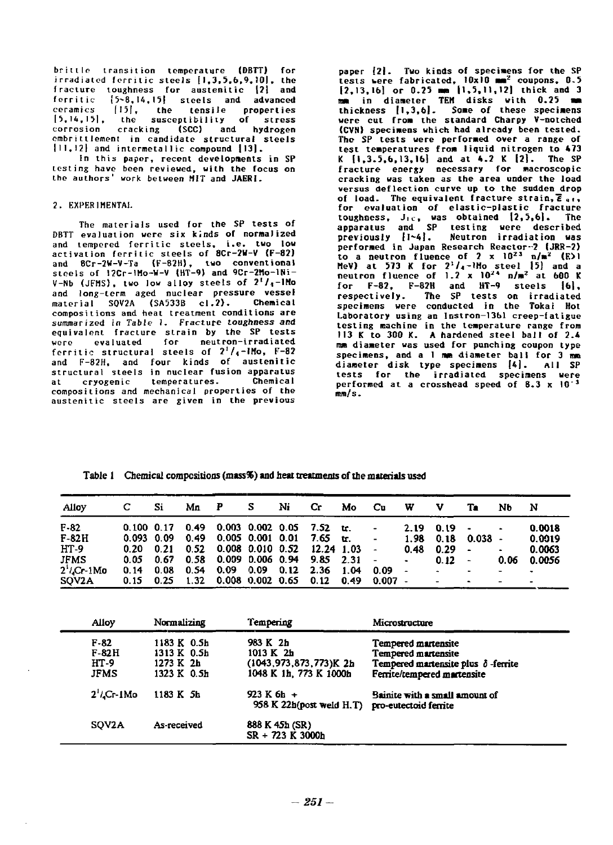**brittle transition temperature (DBTT) for irradiated ferritic steels jI,3,5,6,9,!0|, the**  irradiated ferritic steels 1I 35b9 JOI, lhe **fracture toughness for austenitic 121 and ferritic (5~8,I4,I5| steels and advanced ceramics |I5|, the tensile properties |5,I4,I5|, the susceptibility of stress**  15.14.151. lhe susceplil;ility of stress **corrosion cracking (SCO and hydrogen**  corrosion cracking (SCC and hydrogen **embrittlement in candidate structural steels**  cmbrittlcment in candidale slruclural sleels **11 1,12} and intermetal1ic compound 1131\***  111.121 and inlermetallic compound 1131. fracture toughness for austenitic [2] and<br>ferritic {5~8,14,15} steels and advanced<br>ceramics {15}, the tensile properties

**In this paper, recent developments in SP**  ln lhis paver. recenl developments in SP **testing have been reviewed, with the focus on**  testing have been reviewed, with the focus 00 **the authors' work between MIT and JAERI.**  the authors' work bctween HIT and JAERI\_

## **2. EXPERIMENTAL**  2. EXPERI ENTAI.

**The materials used for the SP tests of**  The malerials used for the SP tests of **DBTT evaluation were six kinds of normalized**  D8T1' evalualion were six k.nds of normaJ ized **and tempered ferritic steels, i.e. two low**  and tempered ferritic steels. i.e. two low activation ferritic steels of 8Cr-2W-V **(F-82) and 8Cr-2W-V-Ta (F-82H), two conventional**  and 8Cr-2W-V-Ta (F-82H lwo conventional **steels of 12Cr-lMo-W-V (HT-9) and 9Cr-2Mo-lNi-**stccls of 12Cr-IHo-W-Y {H1'-9 and9Cr-2Ho-INi-**V-Nb (JFMS), two low alloy steels of 2'/,-IHo**  Y-Nb (JFHS), two low alIoy steels of l' /..-IHo **and long-term aged nuclear pressure vessel**  and long-term aged nuclear pressure vessel **material SQV2A (SA533B cl.2). Chemical**  material SOY2A (SA533B c1.1). Chemical **compositions and heat treatment conditions are**  compositions and heat treatment conditions are **summarized in Table 1. Fracture toughness and**  summarized in Table 1\_ Fracture toughness and **equivalent fracture strain by the SP tests**  equivalenl fracture strain by the SP tests **were evaluated for neutron-irradiated**  were evaluated for neutron-irradiated ferritic structural steels of 2'/<sub>4</sub>-IMo, F-82 **and F-82H, and four kinds of austenitic**  and F-82H, and four kinds of austenitic **structural steels in nuclear fusion apparatus**  structural steels in nuclear fusion apparatus **at cryogenic temperatures. Chemical**  al cryogenic temperatures\_ Chemical **compositions and mechanical properties of the**  compositions and mechanical properties of the **austenitic steels are given in the previous**  austenitic steels are given in the previous

paper  $\{21.$  Two kinds of specimens for the SP<br>tests were fabricated,  $10x10 \text{ mm}^2$  coupons, 0.5<br> $\{2,13,16\}$  or 0.25 mm  $\{1,5,11,12\}$  thick and 3<br>mm in diameter TEM disks with 0.25 mm<br>thickness  $\{1,3,6\}$ . Some of were cut from the standard Charpy V-notched (CVN) specimens which had already been tested. The SP tests were performed over a range of test temperatures from liquid nitrogen to 473 **K**  $\{1, 3.5, 6, 13, 16\}$  and at 4.2 K  $\{2\}$ . The SP fracture energy necessary for macroscopic **cracking was taken** *as* **the area under the load**  cracking was taken as the area under the load **versus deflection curve up to the sudden drop**  versus deflectioo cnrve up to the sudden drop **of load.** The equivalent fracture strain,  $\overline{E}_{\text{eff}}$ , for evaluation of elastic-plastic fracture **toughness, Jic, was obtained (2,3,61. The apparatus and SP testing were described previously 11-4). Neutron irradiation was performed in Japan Research Reactor-2 (JRR-2) to a neutron fluence of 2 x 10 <sup>2</sup> <sup>3</sup> n/m2 (E>l MeV) at 573 K for 2''/i-lHo steel 15) and a neutron fluence of 1.2 x 10'\* n/m2 at 600 K for F-82, F-82H and HT-9 steels |6l,**  for F-82. F-82H and H1'-9 steels 16). **respectively. The SP tests on irradiated specimens were conducted in the Tokai Hot**  respectively The SP tests on irradiated specimens were conducted in the Tokai Hot **Laboratory using an Instron-1361 creep-fatigue**  Laboratory uSing an Instroo-13b1 creep-fatigue testing machine in the temperature range from **113 K to 300 K. A hardened steel ball of 2.4**  113 K to 300 K. A hardeoed steel ball of 2\_4 mm diameter was used for punching coupon type specimens, and a 1 mm diameter ball for 3 mm **diameter disk type specimens [4]. All SP**  diameter disk type specimens 141. ^!I SP tests for the irradiated specimens were performed at a crosshead speed of 8.3 x 10<sup>-3</sup> **mm/s.**  \_/s. paper [2]. Two kinds of specimens for the SP<br>tests were fabricated,  $10x10 \text{ mm}^2$  coupons, 0.5<br>[2,13,16] or 0.25 mm [1,5,11,12] thick and 3<br>mm in diameter TEM disks with 0.25 mm<br>thickness [1,3,6]. Some of these specimens toughness, J<sub>1c</sub>, was obtained [2,5,6]. The apparatus and SP testing were described<br>previously [1~4]. Neutron irradiation was<br>performed in Japan Research Reactor-2 (JRR-2) to a neutron fluence of 2 x  $10^{23}$  n/m<sup>2</sup> (E)|<br>MeV) at 573 K for 2<sup>;</sup>/<sub>4</sub>-lMo steel [5] and a<br>neutron fluence of 1.2 x 10<sup>24</sup> n/m<sup>2</sup> at 600 K

| Alloy                      |                    | Si   | Mn | P                             | Ni | Cr                                  | Mo  | Сu               | W              | v      | Тa                       | Nb                       | N      |
|----------------------------|--------------------|------|----|-------------------------------|----|-------------------------------------|-----|------------------|----------------|--------|--------------------------|--------------------------|--------|
| $F - 82$                   | $0.100 \quad 0.17$ |      |    | $0.49$ 0.003 0.002 0.05       |    | 7.52 tr.                            |     |                  | 2.19           | 0.19   | $\sim$                   | ٠                        | 0.0018 |
| $F-82H$                    | $0.093$ $0.09$     |      |    | $0.49$ $0.005$ $0.001$ $0.01$ |    | 7.65                                | tr. | ۰                | 1.98           | 0.18   | $0.038 -$                |                          | 0.0019 |
| $HT-9$                     | $0.20 \quad 0.21$  |      |    | $0.52$ 0.008 0.010 0.52       |    | 12.24 1.03                          |     |                  | 0.48           | 0.29   | $\hat{\phantom{a}}$      | $\hat{\phantom{a}}$      | 0.0063 |
| JFMS                       | 0.05               | 0.67 |    |                               |    | $0.58$ 0.009 0.006 0.94 9.85 2.31 - |     |                  | $\blacksquare$ | 0.12   | $\overline{\phantom{a}}$ | 0.06                     | 0.0056 |
| $2'$ / <sub>2</sub> Cr-1Mo | 0.14               | 0.08 |    | $0.54$ $0.09$ $0.09$ $0.12$   |    | 2.36 1.04                           |     | 0.09             | $\sim$         | $\sim$ |                          | $\overline{\phantom{0}}$ |        |
| SQV2A                      | 0.15               | 0.25 |    | $1.32$ 0.008 0.002 0.65 0.12  |    |                                     |     | $0.49$ $0.007$ - |                |        |                          | -                        |        |

Table 1 Chemical compositions (mass%) and heat treatments of the materials used

| Alloy         | Normalizing              | Tempering                                  | Microstructure                                                    |
|---------------|--------------------------|--------------------------------------------|-------------------------------------------------------------------|
| $F-82$        | 1183 K 0.5h              | 983 K 2h                                   | Tempered martensite                                               |
| F-82H<br>HT-9 | 1313 K 0.5h<br>1273 K 2h | 1013 K 2h<br>(1043, 973, 873, 773)K 2h     | Tempered martensite<br>Tempered martensite plus $\delta$ -ferrite |
| JFMS          | 1323 K 0.5h              | 1048 K 1h, 773 K 1000h                     | Ferrite/tempered martensite                                       |
| $2^1$ .Cr-IMo | 1183 K 5h                | 923 K 6h +<br>958 K 22 $h$ (post weld H.T) | Bainite with a small amount of<br>pro-eutectoid ferrite           |
| SOV2A         | As-received              | 888 K 45h (SR)<br>$SR + 723 K 3000h$       |                                                                   |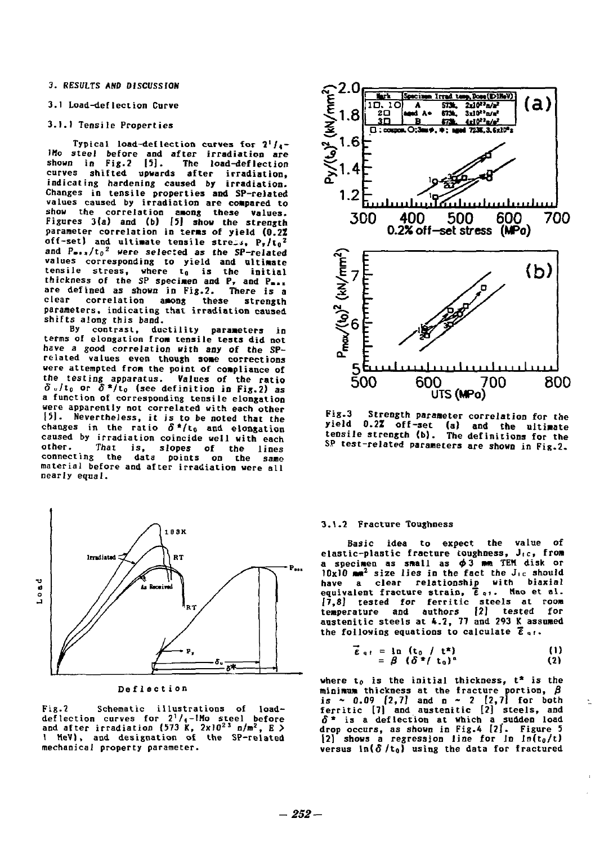**3. RESULTS AND DISCUSSION**  3. RESULTS ANO 01SCUSS10N

# **3.1 Load-deflection Curve**  3.1 Load-deflection Curve

# **3.1.1 Tensile Properties**  3.1.1 Tensile Properties

**Typical load-deflection curves for**  $2^{1}/4$ **-IHo steel before and after irradiation are**  JHo steeJ before and after irradiatioo are **shown in Fig.2 15]. The load-deflection**  shown in Fig.2 151. The load-deflection **curves shifted upwards after irradiation,**  cu1'ves shifted upwa1'ds after irradiation. **indicating hardening caused by irradiation.**  indicating ha1'dening caused by irradiation. **Changes in tensile properties and SP-related**  Changes in tensile properties and SP-reJated values caused by irradiation are compared to show the correlation among these values.<br>Figures 3(a) and (b) [5] show the strength **parameter correlation in terns of yield (0.2Z**  parameter co1'relation in ter.s of yield (0.2% off-set) and ultimate tensile stress,  $P_r/t_0^2$ **and P..,/t<sup>0</sup> <sup>2</sup> were selected as the SP-related**  and P. /to' were seJected as the SP-related **values corresponding to yield and ultimate**<br>tensile stress, where t<sub>0</sub> is the initial<br>thickness of the SP specimen and P, and P<sub>max</sub> are defined as shown in Fig.2. There is a **clear correlation among these strength parameters, indicating that irradiation caused**  clear correlation aMOng these strength parameters. iodicating tnat irradiation caused **shifts along this band.**  shifts along this baod. values corresponding to yield and ultimate<br>tensile stress, where t<sub>o</sub> is the initial<br>thickness of the SP specimen and P, and P<sub>mas</sub>

**By contrast, ductility parameters in**  6y cootrast, ductility para.eters in terms of elongation from tensile tests did not have a good correlation with any of the SPrelated values even though some corrections were attempted from the point of compliance of the testing apparatus. Values of the ratio<br>δ<sub>υ</sub>/t<sub>0</sub> or δ\*/t<sub>0</sub> (see definition in Fig.2) as a function of corresponding tensile elongation<br>were apparently not correlated with each other **were apparently not correlated with each other 151.** Nevertheless, it is to be noted that the changes in the ratio  $\delta^* / t_0$  and elongation **caused by irradiation coincide well with each**  caused by irradiation coincide well wittl each **other. That is, slopes of the lines connecting the data points on the same**  other. That is, slopes of the lines connect ing the data points 00 tbe sallc material before and after irradiation were all<br>nearly equal. **nearly equal.** 



**Deflectio n**  Deflection

Fig.2 Schematic illustrations of load**def lection curves for** *2] /t-ltio* **steel before and after irradiation (573 K, 2xl0<sup>2</sup> <sup>3</sup> n/m<sup>2</sup>, E > 1 HeV), and designation of the SP-related**  mechanical property parameter. deflection curves for  $2^1/\sqrt{-1}$ Ho steel before<br>and after irradiation (573 K, 2xl0<sup>23</sup> n/m<sup>2</sup>, E ><br>1 MeV), and designation of the SP-related



**Fig.3** Strength parameter correlation for the yield 0.2% off-set (a) and the ultimate<br>tensile\_strength (b). The\_definitions\_for\_the\_ **SP test-related parameters are shown in Fig.2.**  SP EesE-rel ated parameters are showa i n Fiz-2.

### **3.1.2 Fracture Toughness**  3.1.2 Fracture Tougboess

Basic idea to expect the value of **elastic-plastic fracture toughness, J<sub>ic</sub>, from b...** a specimen as small as φ3 mm TEM disk or  $10x10$  am<sup>2</sup> size lies in the fact the J<sub>1c</sub> should<br>have a clear relationship with biaxial<br>equivalent fracture strain,  $\bar{e}_{av}$ , Mao et al.<br>[7,8] tested for ferritic steels at room<br>temperature and authors [2] tested for austenitic steels at 4.2, 77 and 293 K assumed the following equations to calculate  $\overline{\epsilon}$ <sub>91</sub>. 10x10  $\text{nm}^2$  size lies in the fact the J<sub>1c</sub> should have a clear relationship with biaxial equivalent fracture strain.  $\bar{t}$ ,  $\bar{t}$ ,  $\bar{t}$ ,  $\bar{t}$  and  $\bar{t}$  for ferritic steels at room temperature and authors

$$
\vec{E}_{q,t} = \ln_{q,t} (t_0 / t^*)
$$
\n
$$
= \beta ( \delta^*/ t_0 )^4
$$
\n(1)

where t<sub>o</sub> is the initial thickness,  $t^*$  is the **minimum thickness at the fracture portion,** *B*  minimum thickness at the fracture portion,  $\beta$ <br>is ~ 0.09 [2,7] and n ~ 2 [2,7] for both<br>ferritic [7] and austenitic [2] steels, and  $S^*$  is a deflection at which a sudden load  $\delta^*$  is a deflection at which a sudden load drop occurs, as shown in Fig.4  $[2]$ . Figure 5  $[2]$  shows a regression line for  $\ln \ln(t_0/t)$ **versus**  $\ln(\delta / t_0)$  **using the data for fractured**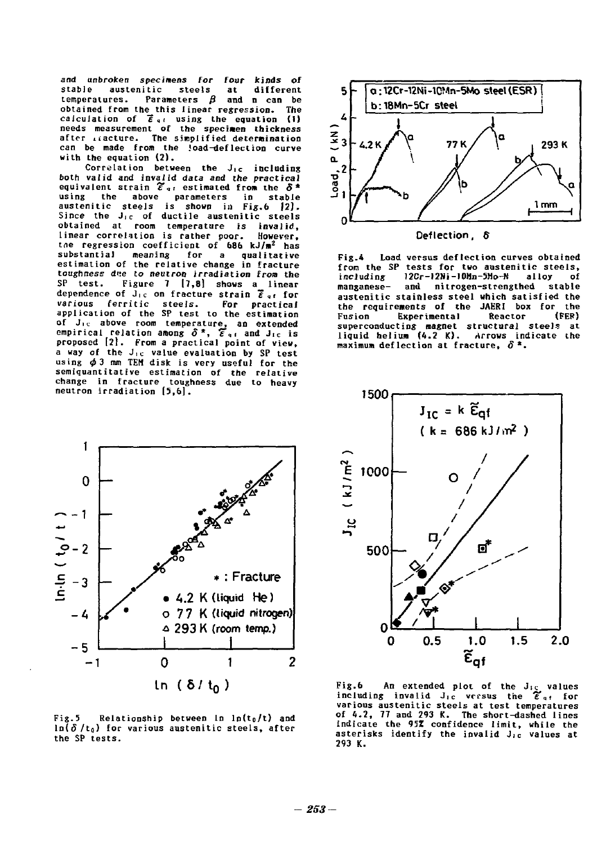**and unbroken specimens for four kinds of**  and unbroken specimens for four kinds of **stable austenitic steels at different**  stable austenitic steels at different **temperatures. Parameters** *0* **and n can be**  temperatures. Parameters βand n can be **obtained from the this linear regression. The**  obtained from the this linear regression. The **calculation of**  $\overline{\epsilon}$  $_{4}$  **using the equation (i)**<br>needs measurement of the specimen thickness **after iiacture. The simplified determination**  after dacture. The s;mplified deter ination **can be made from the load-deflection curve**  can be made from the !oad-deflection curve **with the equation (2).**  with the equation (2】. calculation of  $\overline{\epsilon}$ <sub>s</sub>, using the equation (1)<br>needs measurement of the specimen thickne*ss* 

**Correlation between the J<sub>tc</sub> including** both valid and invalid data and the practical **equivalent strain £\*"r estimated from the** *8\**  **using the above parameters in stable austenitic steels is shown in Fig.6 |2J. Since the J<sup>l</sup> <sup>c</sup> of ductile austenitic steels**  Since the J.c of ductile austenitic steels **obtained at room temperature is invalid,**  obtained at room temperature is iovalid, **linear correlation is rather poor. However, the regression coefficient of the regression coefficient of 686 kJ/m<sup>2</sup> has the regression coefficient of 686 kJ/m<sup>2</sup> has substantial meaning for a qualitative**  substantial meaning for a qualitative **estimation of the relative change in fracture**  estimation of the relative change in fracture toughness d*ee* to neutron irradiation from the **SP test. Figure 7 |7,8] shows a linear**  SP test. Figure 7 (7 8) shows a linear **dependence of J<sup>i</sup> <sup>C</sup> on fracture strain £<sup>q</sup> f for**  dependence of J.c on fracture straio <sup>q</sup> <sup>f</sup>for **various ferritic steels. For practical**  various ferritic steels. For practicaI **application of the SP test to the estimation**  application of the SP test to the estimation of J<sub>ic</sub> above room temperature, an extended **empirical relation among** *6\*, T"i* **and Jic is**  empirical relation amoog O \*, E.. aod J.c is **proposed [21. From a practical point of view,**  proposed 121. From a practical point of view, a way of the J<sub>ic</sub> value evaluation by SP test **using 0 ] im TEH disk is very useful for the**  usingφ3 mm TEH disk is very useful for the **semiquantitative estimation of the relative**  semiquantitative estimatioo of the relative change in fracture toughness due to heavy **neutron irradiation [5,6].**  neutron irradiation [5,&]. equivalent strain  $\widetilde{\mathcal{E}}_{\mathfrak{a}^f}$  estimated from the δ\*<br>using the above parameters in stable<br>austenitic steels is shown in Fig.6 12).



**Fig.4 Load versus deflection curves obtained**  Fig.4 Load versus deflection curves obtained **from the SP tests for two austenitic steels,**  from the SP tests for two austenitic steels, including J2Cr-12Ni-JOHn-5Ho-1I alloy of **including 12Cr-12»i-10Hn-5Mo-N alloy of manganese- and nitrogen-strengthed stable**  manganese- and nitrogen-strengthed stable **austenitic stainless steel which satisfied the**  a~stenitic stainless steel which satisfied the **the requirements of the JAERI box for the**  the requiremeots of the JAERI box for the **Fusion Experimental Reactor (FER)** superconductin<mark>g mag</mark>net structural steels at<br>liquid helium (4.2 K). Arrows indicate the **maximum deflection at fracture,** *6* **\*.**  maximum deflection at fracture δ



Fig.5 Relationship between **In** ln(t<sub>0</sub>/t) and **ln(5/to) for various austenitic steels, after**  ln(o /to} for various austenitic steels, after **the SP tests.**  the SP tests.



**Fig.6** An extended plot of the J<sub>ic</sub> values including invalid J<sub>ic</sub> versus the  $\widetilde{\epsilon}_{gt}$  for **various austenitic steels at test temperatures of 4.2, 77 and 293 K. The short-dashed lines**  various austenitic steels at test temperatures f 4.2, 11 and 293 K. The short-dashed lines **indicate the 95Z confidence limit, while the**  indicate the 95% confidence limi t. while the asterisks identify the invalid J<sub>1c</sub> values at **293 K.**  293 K.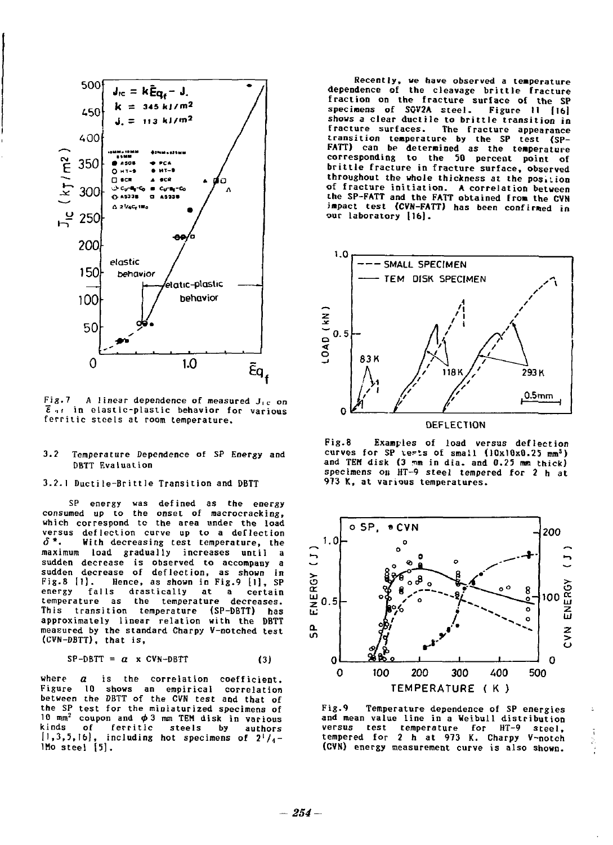

**Fig.7 A linear dependence of measured J,c** *on*  Fig.7 A linear dependence of measured J.c on *E*  $\epsilon$  in elastic-plastic behavior for various **ferritic steels at room temperature.**  ferritic steels at room temperature.

#### **3.2 Temperature Dependence of SP Energy and**  Temperature /)ependence of SP Energy and **DBTT Evaluation** 3.2

### **3.2.1 Ductile-Brittle Transition and DBTT**

**SP energy was defined as the energy consumed up to the onset of macrocracking, which correspond to the area under the load versus deflection curve up to a deflection (J\*. With decreasing test temperature, the**  versus deflection curve up to a deflection δ\* With decreasing test temperature, the **maximum load gradually increases until a**  maximum load gradually increases until a **sudden decrease is observed to accompany a**  sudden decrease is observed to accompany a sudden decrease of deflection, as shown in<br>Fig.8 [1]. Hence, as shown in Fig.9 [1], SP **energy falls drastically at a certain temperature as the temperature decreases.**  energy falls drastically at a certain temperature as the temperature decreases. **This transition temperature (SP-DBTT) has**  This transition temperature (SP-DBTT) has **approximately linear relation with the DBTT**  approximately I inear relation wi th the DBTT **measured by the standard Charpy V-notched test**  mea.ured by the standard Charpy Y-Dotched test **(CVN-DBTT), that is,**  (CVN-/)BTT), that is, SP energy was defined as the energy consumed up to the onset of macrocracking, which correspond to the area under the load

$$
SP-DBTT = \alpha \times CVN-DBTT \qquad (3)
$$

**where** *a* **is the correlation coefficient.**  whera a is the correlation coefficient. **Figure 10 shows an empirical correlation**  Figure 10 shows an empirical correlation **between the DBTT of the CVN test and that of**  between the DBTT of the CVN test and that of **the SP test for the miniaturized specimens of**  the SP test for the mioiaturized specimens of **10 mm<sup>2</sup> coupon and φ3 mm TEM disk in various**<br>kinds of ferritic steels by authors<br>[1,3,5,16], including hot specimens of 2'/<sub>1</sub>-<br>1Mo steel [5]. 10 mm<sup>2</sup> coupon and φ3 mm TEM disk in various<br>cinds of ferritic steels by authors<br>[1,3,5,16], including hot specimens of 2<sup>1</sup>/<sub>4</sub>-<br>lMosteel [5].

**Recently, we have observed a temperature dependence of the cleavage brittle fracture fraction on the fracture surface of the SP**  fraction on the fracture surface of the SP specimens of SQV2A steel. Figure 11 [16] **shows a clear ductile to brittle transition in**  shows a clear ductile to brittle transition in **fracture surfaces. The fracture appearance transition temperature by the SP test (SP-**FATT) can be determined as the temperature **corresponding to the 50 percent point of brittle fracture in fracture surface, observed**  brittle fracture in fracture surface, observed **throughout the whole thickness at the posiiion**  throughout the whole thickness at the pos.tion **of fracture initiation. A correlation between the SP-FATT and the FATT obtained from the CVN**  impact test (CVN-FATT) has been confirmed in ur laboratory [16]. **our laboratory 116).**  Recently, we have observed a temperature<br>dependence of the cleavage brittle fracture fracture surfaces. The fracture appearance transition temperature by the SP test CSPffracture initiation. A correlation between the SP-FATT and the FATT obtained from the CYN



**Fig.8 Examples of load versus deflection**  Fig.8 Examples of load versus deflection curves for SP **tests** of small (10x10x0.25 mm<sup>3</sup>) and TEM disk (3 mm in dia. and 0.25 mm thick) specimens on HT-9 steel tempered for 2 h at **973 K, at various temperatures.**  913 K, at variuus temperatures.



**Fig.9 Temperature dependence of SP energies**  Fig.9 Temperature dependence of SP energies **and mean value line in a Ueibull distribution**  and mean value line in a Weibull distribution **versus test temperature for HT-9 steel, tempered for 2 h at 973 K. Charpy V-notch**  versus test temperature for HT-9 steel, tempered for 2 h at 973 K. Charpy Y-notch **(CVN) energy measurement curve is also shown.**  (CVN) energy measurement curve is also shown.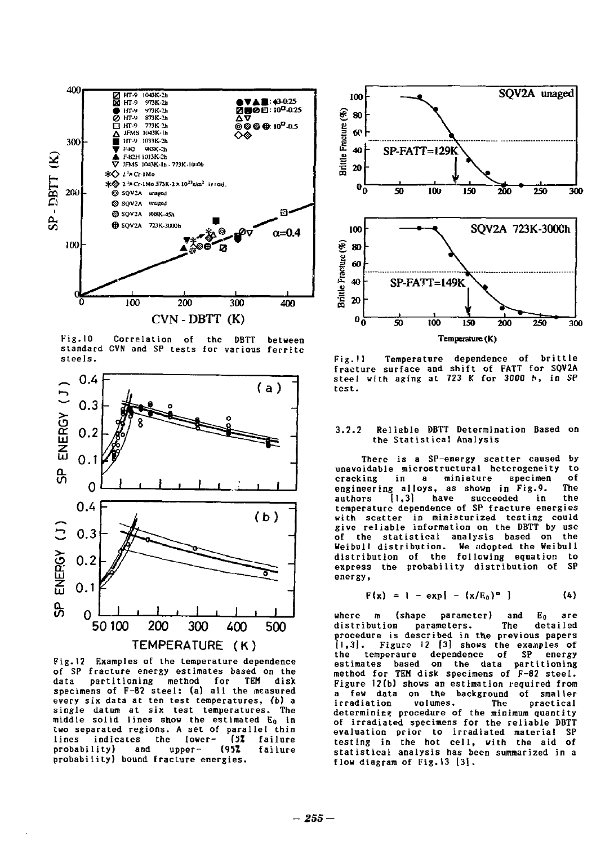

**Fig. 10 Correlation of the DBTT between standard CVN and SP tests for various ferritc**  standard CVN and SP tests for various ferritc **steels.**  steels. Fig.l0 Correlalion of the 08TT between



**Fig.12 Examples of the temperature dependence**  Fig.12 Examples of the temperature dependence **of SP fracture energy estimates based on the**  of SP fracture energy est imates based 00 the **data partitioning method for TEH disk**  data partitiooing method for TEH disk specimens of F-82 steel: (a) all the measured every six data at ten test temperatures, (b) a<br>single datum at six test temperatures. The **single datum at six test temperatures. The middle solid lines show the estimated Eo in**  middle solid lioes show the estimated Eo in **two separated regions. A set of parallel thin**  two separated regions. A set of parallel thin **lines indicates the lower- (5Z failure**  lines indicates the lower- (5% failure **probability) and upper- (951 failure**  probabi 1 i ty) and upper- (95% failure **probability) bound fracture energies.**  probability) bound fracture energies.



**Fig.U Temperature dependence of brittle**  Fig.ll Temperature dependeoce of brittle **fracture surface and shift of FATT for SQV2A**  fracture surface and shift of I'ATT for SQV2A **steel with aging at 723 K for 3000 h, in SP**  steel with agiog at 723 K for 300 ", io SP **test.**  test.

#### **3.2.2 Reliable DBTT Determination Based on**  ael iable 08TT Oeterminatioo 8ased on **the Statistical Analysis**  the Statistical Analysis 3.2.2

**There is a SP-energy scatter caused by**  There is a SP-energy scatter caused by **unavoidable microstructural heterogeneity to**  uoavoidable microstructural heterogeoeity to cracking in a miniature specimen of **engineering alloys, as shown in Fig.<sup>0</sup> . The**  engineering alloys, as shown io Fig.9. The **authors [1,31 have succeeded in the temperature dependence of SP fracture energies**  authors [1 3) have succeeded in the temperature depeodence of SP fracture eoergies **with scatter in miniaturized testing could give reliable information on the DBTT by use**  with scatter in minioturized testing could give reliable ioformatioo 00 the OBTT by use **of the statistical analysis based on the**  of the statistical aoalysis based on the **Veibull distribution. We adopted the Weibull**  Weibull distribution. We ndopted the Weibull **distribution of the following equation to**  distribution of the follcwiog equatioc to **express the probability distribution of SP**  express tne probability distribution of SP **energy,**  energy,

$$
F(x) = 1 - \exp\{-x/E_0\}^m
$$
 (4)

**where m (shape parameter) and Eo are**  where m (shape parameter) aod Eo are **distribution parameters. The detailed**  distribution parameters. The detailed **procedure is described in the previous papers**  procedure is described io the previous papers **[1,3]. Figure 12 [3] shows the examples of**  [1 3]. Figure 12 [3] sh。 同 the e~a;QPles of **the temperaure dependence of SP energy estimates based on the data partitioning**  the temperaure depeodeoce of SP eoergy estimates based 00 the data partitioniog **method for TEH disk specimens of F-82 steel.**  method for TEH disk specimeos of 1'-82 steel. **Figure 12(b) shows an estimation required from**  Figure 12(b) shows an estirnation required from **a few data on the background of smaller**  a few data 00 the backgrouod of smaller irradiation volumes. The practical<br>determining procedure of the minimum quantity **of irradiated specimens for the reliable DBTT**  of irradialed specirnens for the reliable OBTT **evaluation prior to irradiated material SP**  evaluation prior to irradiated material SP **testing in the hot cell, with the aid of**  testing in the hot cell, with the aid of **statistical analysis has been summarized in a**  statistical analysis has been summarized in a flow diagram of Fig.13 [3]. irradiation volumes. The practical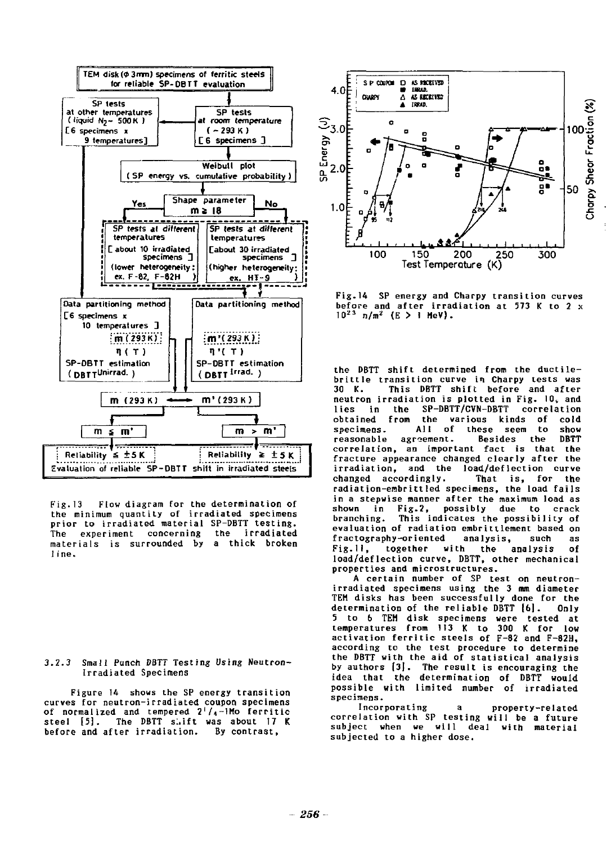

**Fig.13 Flow diagram for the determination of**  Fig.13 Flow diagram for the determination of **the minimum quantity of irradiated specimens**  the minimum quant i ty of irradiated specimens **prior to irradiated material SP-DBTT testing.**  prior to irradiated material SP-OBTT testing. **The experiment concerning the irradiated**  The exper iment concerning the i rradiated **materials is surrounded by a thick broken**  materials is surrounded by a thick broken **1 ine.**  ! ine.

**3.2.3 Small Punch DBTT Testing Using Neutron-**3.2.3 Sma!l Punch DBTT Testing Using Neutron-**Irradiated Specimens**  lrradiated Specimens

**Figure 14 shows the SP energy transition**  Figure 14 shows the SP energy transition **curves for neutron-irradiated coupon specimens**  curves for neutron-irradiated coupon specimens of normalized and tempered 2<sup>1</sup>/<sub>4</sub>-1Mo ferritic **steel [5]. The DBTT s:,ift was about 17 K**  stee! [5]. The DBTT s:.ift was about 17 K **before and after irradiation. By contrast.**  be[ore and after irradiation. By contrast,



**Fig.14 SP energy and Charpy transition curves**  Fig.14 SP energy and Charpy transition curves **before and after irradiation at 573 K to 2 x 1 0 <sup>2</sup> <sup>3</sup> n/m2 (E > I MeV).**  before and after irradiation at 573 K to 2 x <sup>10</sup>23 n/m2 (E > 1 HeV).

**the DBTT shift determined from the ductile-**the 08TT shift determined from the ducti lebrittle transition curve in Charpy tests was **30 K. This DBTT shift before and after**  30 K. This 08TT shift before and after **neutron irradiation is plotted in Fig. 10, and**  neutron irradiation is plotted in Fig. 10'and **lies in the SP-DBTT/CVN-DBTT correlation**  1 ies in the SP-OBTT/CVN-OBTT correlation **obtained from the various kinds of cold**  obtained [rom the various kinds of cold **specimens. All of these seem to show**  specimens. AIl of these seem to show reasonable agreement. Besides the **DBTT correlation, an important fact is that the**  correlation, an important fact is that the **fracture appearance changed clearly after the**  fracture appearance changed clear!y after the irradiation, and the load/deflection curve **changed accordingly. That is, for the**  changed accordingly. That is, for the **radiation-embrittled specimens, the load fails in a stepwise manner after the maximum load as**  in a stepwise manner after the maximum load as **shown in Fig.2, possibly due to crack**  shown in Fig.2, possibly due to crack **branching. This indicates the possibility of**  branching. This indicates the possibility of evaluation of radiation embrittlement based on **fractography-oriented analysis, such as**  fractography-oriented analysis, such as **Fig.II, together with the analysis of**  Fig.ll, together with the aalysis of **load/deflection curve, DBTT, other mechanical**  load/deflection curve, OBTT, other mechanical properties and microstructures.

**A certain number of SP test on neutron-**A certain number of SP test on neutron**irradiated specimens using the 3 mm diameter**  irradiated specimens using the 3 mm diameter **TEM disks has been successfully done for the**  TEH disks has been successfully done for the determination of the reliable DBTT [6]. Only **5 to b TEM disk specimens were tested at**  to b TEH disk specimens were tested at **temperatures from 113 K to 300 K for low**  temperatures from 113 K to 300 K for low exportation ferritic steels of F-82 and F-82H,<br>according to the test procedure to determine **according to the test procedure to determine the DBTT with the aid of statistical analysis**  the DBTT with the aid of statistical analysis **by authors [31. The result is encouraging the**  by authors [3J. The result is encouraging the idea that the determination of DBTT would<br>possible with limited number of irradiated **specimens.**  specimens.

**Incorporating a property-related correlation with SP testing will be a future**  correlation with SP testing will be a future **subject when we will deal with material**  subject when we will deal with material **subjected to a higher dose.**  subjected to a higher dose. Incorporating a property-related